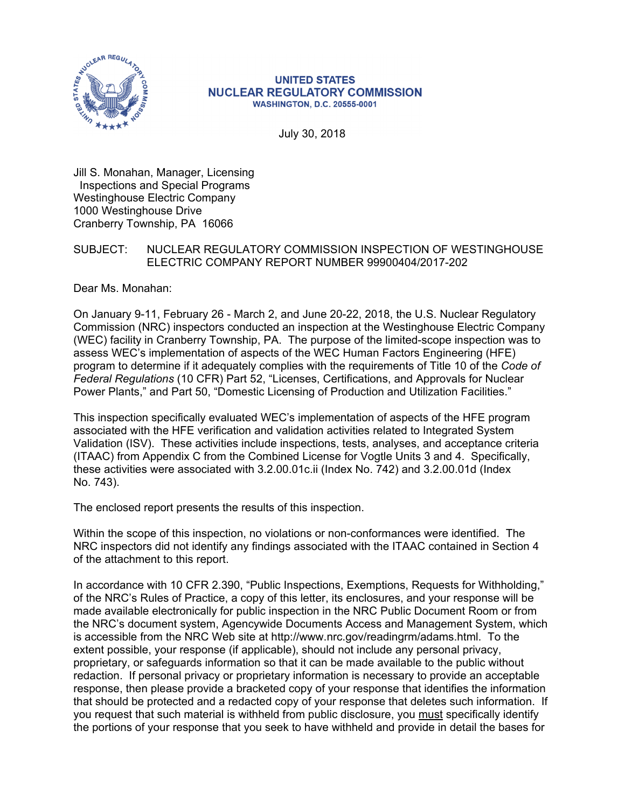

#### **UNITED STATES NUCLEAR REGULATORY COMMISSION WASHINGTON, D.C. 20555-0001**

July 30, 2018

Jill S. Monahan, Manager, Licensing Inspections and Special Programs Westinghouse Electric Company 1000 Westinghouse Drive Cranberry Township, PA 16066

## SUBJECT: NUCLEAR REGULATORY COMMISSION INSPECTION OF WESTINGHOUSE ELECTRIC COMPANY REPORT NUMBER 99900404/2017-202

Dear Ms. Monahan:

On January 9-11, February 26 - March 2, and June 20-22, 2018, the U.S. Nuclear Regulatory Commission (NRC) inspectors conducted an inspection at the Westinghouse Electric Company (WEC) facility in Cranberry Township, PA. The purpose of the limited-scope inspection was to assess WEC's implementation of aspects of the WEC Human Factors Engineering (HFE) program to determine if it adequately complies with the requirements of Title 10 of the *Code of Federal Regulations* (10 CFR) Part 52, "Licenses, Certifications, and Approvals for Nuclear Power Plants," and Part 50, "Domestic Licensing of Production and Utilization Facilities."

This inspection specifically evaluated WEC's implementation of aspects of the HFE program associated with the HFE verification and validation activities related to Integrated System Validation (ISV). These activities include inspections, tests, analyses, and acceptance criteria (ITAAC) from Appendix C from the Combined License for Vogtle Units 3 and 4. Specifically, these activities were associated with 3.2.00.01c.ii (Index No. 742) and 3.2.00.01d (Index No. 743).

The enclosed report presents the results of this inspection.

Within the scope of this inspection, no violations or non-conformances were identified. The NRC inspectors did not identify any findings associated with the ITAAC contained in Section 4 of the attachment to this report.

In accordance with 10 CFR 2.390, "Public Inspections, Exemptions, Requests for Withholding," of the NRC's Rules of Practice, a copy of this letter, its enclosures, and your response will be made available electronically for public inspection in the NRC Public Document Room or from the NRC's document system, Agencywide Documents Access and Management System, which is accessible from the NRC Web site at http://www.nrc.gov/readingrm/adams.html. To the extent possible, your response (if applicable), should not include any personal privacy, proprietary, or safeguards information so that it can be made available to the public without redaction. If personal privacy or proprietary information is necessary to provide an acceptable response, then please provide a bracketed copy of your response that identifies the information that should be protected and a redacted copy of your response that deletes such information. If you request that such material is withheld from public disclosure, you must specifically identify the portions of your response that you seek to have withheld and provide in detail the bases for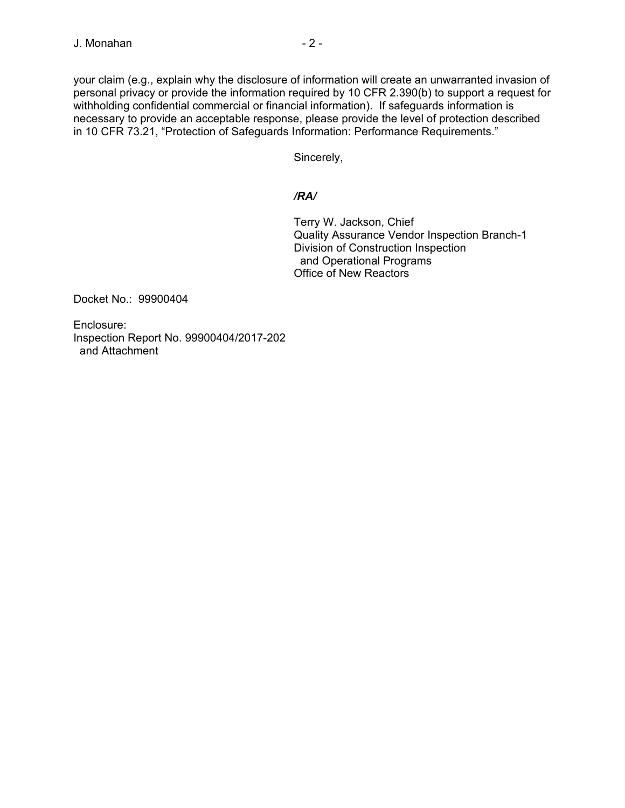your claim (e.g., explain why the disclosure of information will create an unwarranted invasion of personal privacy or provide the information required by 10 CFR 2.390(b) to support a request for withholding confidential commercial or financial information). If safeguards information is necessary to provide an acceptable response, please provide the level of protection described in 10 CFR 73.21, "Protection of Safeguards Information: Performance Requirements."

Sincerely,

## */RA/*

Terry W. Jackson, Chief Quality Assurance Vendor Inspection Branch-1 Division of Construction Inspection and Operational Programs Office of New Reactors

Docket No.: 99900404

Enclosure: Inspection Report No. 99900404/2017-202 and Attachment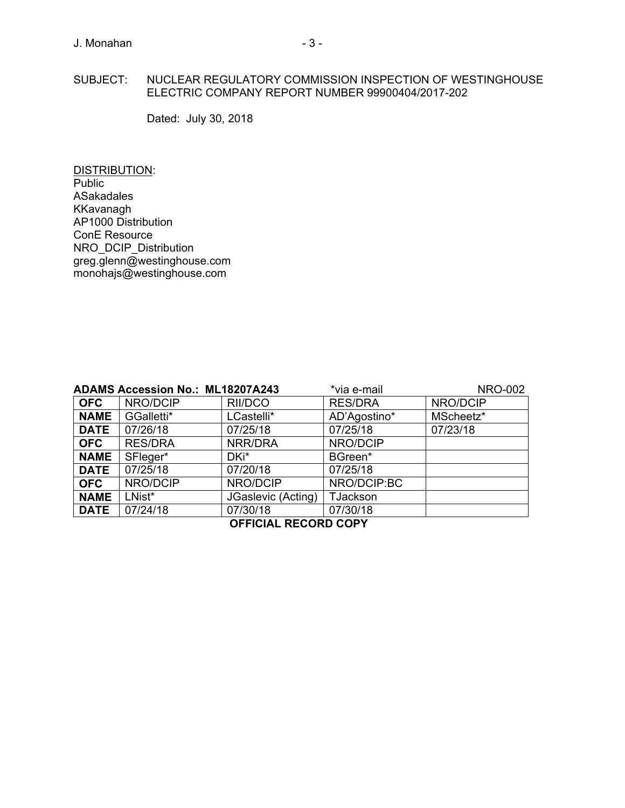#### SUBJECT: NUCLEAR REGULATORY COMMISSION INSPECTION OF WESTINGHOUSE ELECTRIC COMPANY REPORT NUMBER 99900404/2017-202

Dated: July 30, 2018

DISTRIBUTION: Public ASakadales KKavanagh AP1000 Distribution ConE Resource NRO\_DCIP\_Distribution greg.glenn@westinghouse.com monohajs@westinghouse.com

| *via e-mail<br><b>ADAMS Accession No.: ML18207A243</b> |                |                    |                 | <b>NRO-002</b> |
|--------------------------------------------------------|----------------|--------------------|-----------------|----------------|
| <b>OFC</b>                                             | NRO/DCIP       | RII/DCO            | <b>RES/DRA</b>  | NRO/DCIP       |
| <b>NAME</b>                                            | GGalletti*     | LCastelli*         | AD'Agostino*    | MScheetz*      |
| <b>DATE</b>                                            | 07/26/18       | 07/25/18           | 07/25/18        | 07/23/18       |
| <b>OFC</b>                                             | <b>RES/DRA</b> | NRR/DRA            | NRO/DCIP        |                |
| <b>NAME</b>                                            | SFleger*       | DKi*               | BGreen*         |                |
| <b>DATE</b>                                            | 07/25/18       | 07/20/18           | 07/25/18        |                |
| <b>OFC</b>                                             | NRO/DCIP       | NRO/DCIP           | NRO/DCIP:BC     |                |
| <b>NAME</b>                                            | LNist*         | JGaslevic (Acting) | <b>TJackson</b> |                |
| <b>DATE</b>                                            | 07/24/18       | 07/30/18           | 07/30/18        |                |
| <b>OFFICIAL RECORD COPY</b>                            |                |                    |                 |                |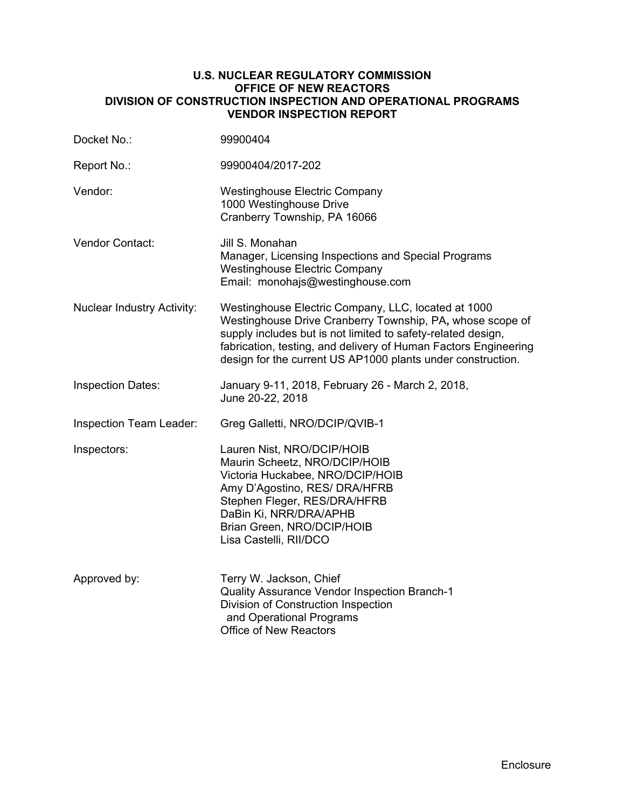#### **U.S. NUCLEAR REGULATORY COMMISSION OFFICE OF NEW REACTORS DIVISION OF CONSTRUCTION INSPECTION AND OPERATIONAL PROGRAMS VENDOR INSPECTION REPORT**

| Docket No.:                       | 99900404                                                                                                                                                                                                                                                                                                           |  |  |
|-----------------------------------|--------------------------------------------------------------------------------------------------------------------------------------------------------------------------------------------------------------------------------------------------------------------------------------------------------------------|--|--|
| Report No.:                       | 99900404/2017-202                                                                                                                                                                                                                                                                                                  |  |  |
| Vendor:                           | <b>Westinghouse Electric Company</b><br>1000 Westinghouse Drive<br>Cranberry Township, PA 16066                                                                                                                                                                                                                    |  |  |
| <b>Vendor Contact:</b>            | Jill S. Monahan<br>Manager, Licensing Inspections and Special Programs<br><b>Westinghouse Electric Company</b><br>Email: monohajs@westinghouse.com                                                                                                                                                                 |  |  |
| <b>Nuclear Industry Activity:</b> | Westinghouse Electric Company, LLC, located at 1000<br>Westinghouse Drive Cranberry Township, PA, whose scope of<br>supply includes but is not limited to safety-related design,<br>fabrication, testing, and delivery of Human Factors Engineering<br>design for the current US AP1000 plants under construction. |  |  |
| <b>Inspection Dates:</b>          | January 9-11, 2018, February 26 - March 2, 2018,<br>June 20-22, 2018                                                                                                                                                                                                                                               |  |  |
| Inspection Team Leader:           | Greg Galletti, NRO/DCIP/QVIB-1                                                                                                                                                                                                                                                                                     |  |  |
| Inspectors:                       | Lauren Nist, NRO/DCIP/HOIB<br>Maurin Scheetz, NRO/DCIP/HOIB<br>Victoria Huckabee, NRO/DCIP/HOIB<br>Amy D'Agostino, RES/ DRA/HFRB<br>Stephen Fleger, RES/DRA/HFRB<br>DaBin Ki, NRR/DRA/APHB<br>Brian Green, NRO/DCIP/HOIB<br>Lisa Castelli, RII/DCO                                                                 |  |  |
| Approved by:                      | Terry W. Jackson, Chief<br>Quality Assurance Vendor Inspection Branch-1<br>Division of Construction Inspection<br>and Operational Programs<br>Office of New Reactors                                                                                                                                               |  |  |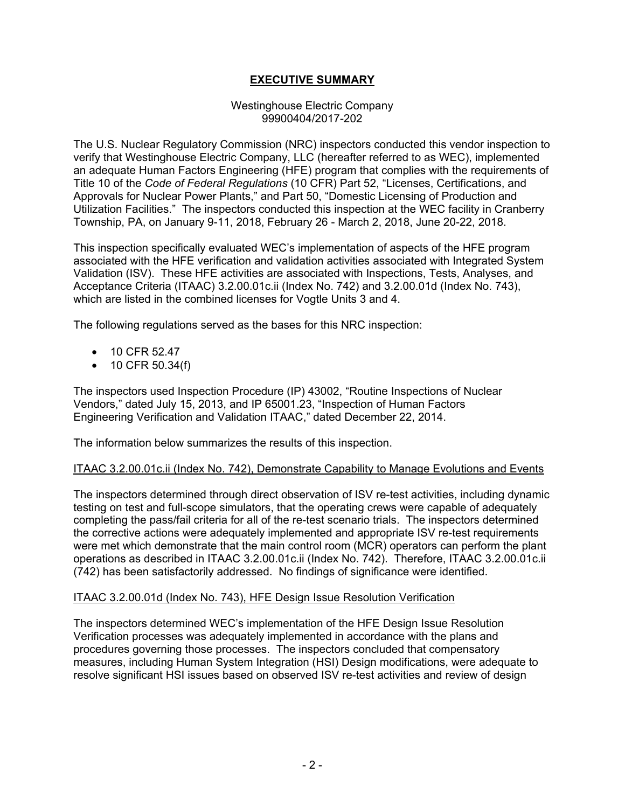## **EXECUTIVE SUMMARY**

#### Westinghouse Electric Company 99900404/2017-202

The U.S. Nuclear Regulatory Commission (NRC) inspectors conducted this vendor inspection to verify that Westinghouse Electric Company, LLC (hereafter referred to as WEC), implemented an adequate Human Factors Engineering (HFE) program that complies with the requirements of Title 10 of the *Code of Federal Regulations* (10 CFR) Part 52, "Licenses, Certifications, and Approvals for Nuclear Power Plants," and Part 50, "Domestic Licensing of Production and Utilization Facilities." The inspectors conducted this inspection at the WEC facility in Cranberry Township, PA, on January 9-11, 2018, February 26 - March 2, 2018, June 20-22, 2018.

This inspection specifically evaluated WEC's implementation of aspects of the HFE program associated with the HFE verification and validation activities associated with Integrated System Validation (ISV). These HFE activities are associated with Inspections, Tests, Analyses, and Acceptance Criteria (ITAAC) 3.2.00.01c.ii (Index No. 742) and 3.2.00.01d (Index No. 743), which are listed in the combined licenses for Vogtle Units 3 and 4.

The following regulations served as the bases for this NRC inspection:

- 10 CFR 52.47
- 10 CFR 50.34(f)

The inspectors used Inspection Procedure (IP) 43002, "Routine Inspections of Nuclear Vendors," dated July 15, 2013, and IP 65001.23, "Inspection of Human Factors Engineering Verification and Validation ITAAC," dated December 22, 2014.

The information below summarizes the results of this inspection.

#### ITAAC 3.2.00.01c.ii (Index No. 742), Demonstrate Capability to Manage Evolutions and Events

The inspectors determined through direct observation of ISV re-test activities, including dynamic testing on test and full-scope simulators, that the operating crews were capable of adequately completing the pass/fail criteria for all of the re-test scenario trials. The inspectors determined the corrective actions were adequately implemented and appropriate ISV re-test requirements were met which demonstrate that the main control room (MCR) operators can perform the plant operations as described in ITAAC 3.2.00.01c.ii (Index No. 742). Therefore, ITAAC 3.2.00.01c.ii (742) has been satisfactorily addressed. No findings of significance were identified.

#### ITAAC 3.2.00.01d (Index No. 743), HFE Design Issue Resolution Verification

The inspectors determined WEC's implementation of the HFE Design Issue Resolution Verification processes was adequately implemented in accordance with the plans and procedures governing those processes. The inspectors concluded that compensatory measures, including Human System Integration (HSI) Design modifications, were adequate to resolve significant HSI issues based on observed ISV re-test activities and review of design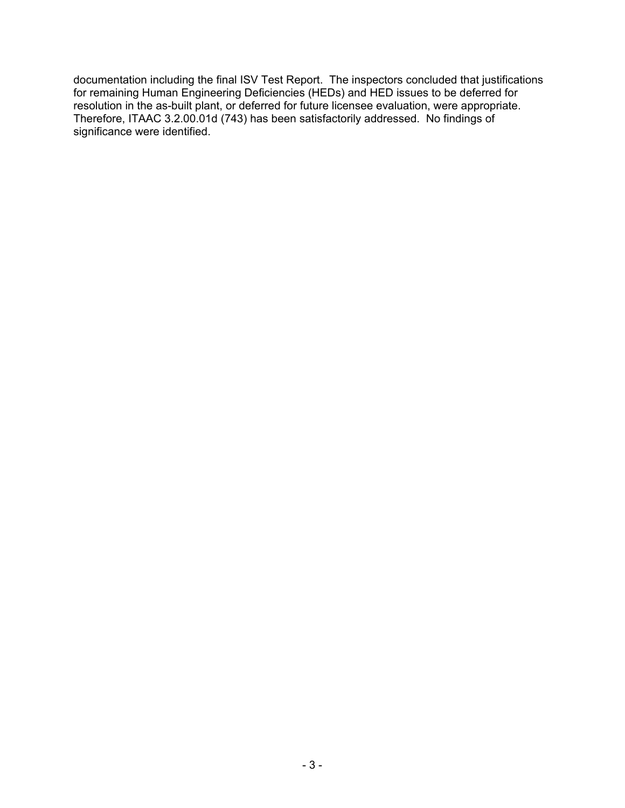documentation including the final ISV Test Report. The inspectors concluded that justifications for remaining Human Engineering Deficiencies (HEDs) and HED issues to be deferred for resolution in the as-built plant, or deferred for future licensee evaluation, were appropriate. Therefore, ITAAC 3.2.00.01d (743) has been satisfactorily addressed. No findings of significance were identified.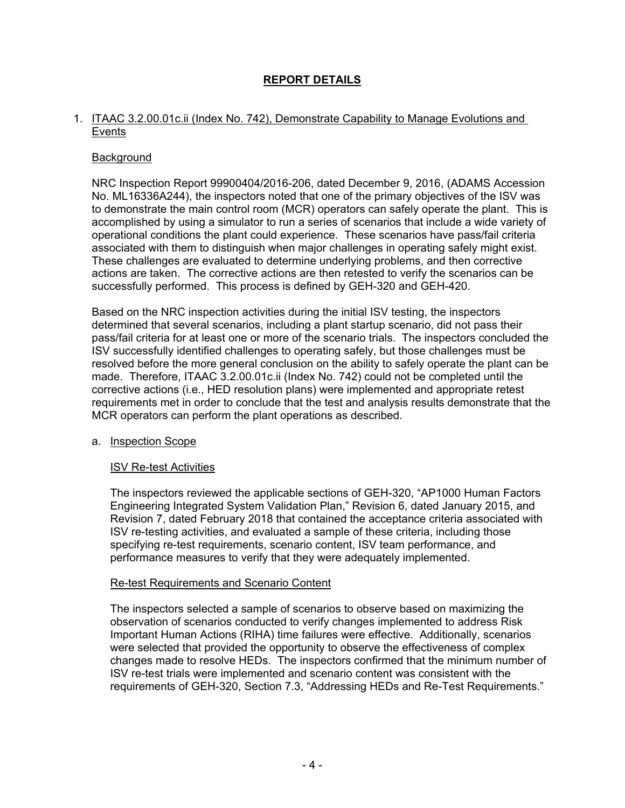## **REPORT DETAILS**

#### 1. ITAAC 3.2.00.01c.ii (Index No. 742), Demonstrate Capability to Manage Evolutions and Events

#### **Background**

NRC Inspection Report 99900404/2016-206, dated December 9, 2016, (ADAMS Accession No. ML16336A244), the inspectors noted that one of the primary objectives of the ISV was to demonstrate the main control room (MCR) operators can safely operate the plant. This is accomplished by using a simulator to run a series of scenarios that include a wide variety of operational conditions the plant could experience. These scenarios have pass/fail criteria associated with them to distinguish when major challenges in operating safely might exist. These challenges are evaluated to determine underlying problems, and then corrective actions are taken. The corrective actions are then retested to verify the scenarios can be successfully performed. This process is defined by GEH-320 and GEH-420.

Based on the NRC inspection activities during the initial ISV testing, the inspectors determined that several scenarios, including a plant startup scenario, did not pass their pass/fail criteria for at least one or more of the scenario trials. The inspectors concluded the ISV successfully identified challenges to operating safely, but those challenges must be resolved before the more general conclusion on the ability to safely operate the plant can be made. Therefore, ITAAC 3.2.00.01c.ii (Index No. 742) could not be completed until the corrective actions (i.e., HED resolution plans) were implemented and appropriate retest requirements met in order to conclude that the test and analysis results demonstrate that the MCR operators can perform the plant operations as described.

#### a. Inspection Scope

## ISV Re-test Activities

The inspectors reviewed the applicable sections of GEH-320, "AP1000 Human Factors Engineering Integrated System Validation Plan," Revision 6, dated January 2015, and Revision 7, dated February 2018 that contained the acceptance criteria associated with ISV re-testing activities, and evaluated a sample of these criteria, including those specifying re-test requirements, scenario content, ISV team performance, and performance measures to verify that they were adequately implemented.

#### Re-test Requirements and Scenario Content

The inspectors selected a sample of scenarios to observe based on maximizing the observation of scenarios conducted to verify changes implemented to address Risk Important Human Actions (RIHA) time failures were effective. Additionally, scenarios were selected that provided the opportunity to observe the effectiveness of complex changes made to resolve HEDs. The inspectors confirmed that the minimum number of ISV re-test trials were implemented and scenario content was consistent with the requirements of GEH-320, Section 7.3, "Addressing HEDs and Re-Test Requirements."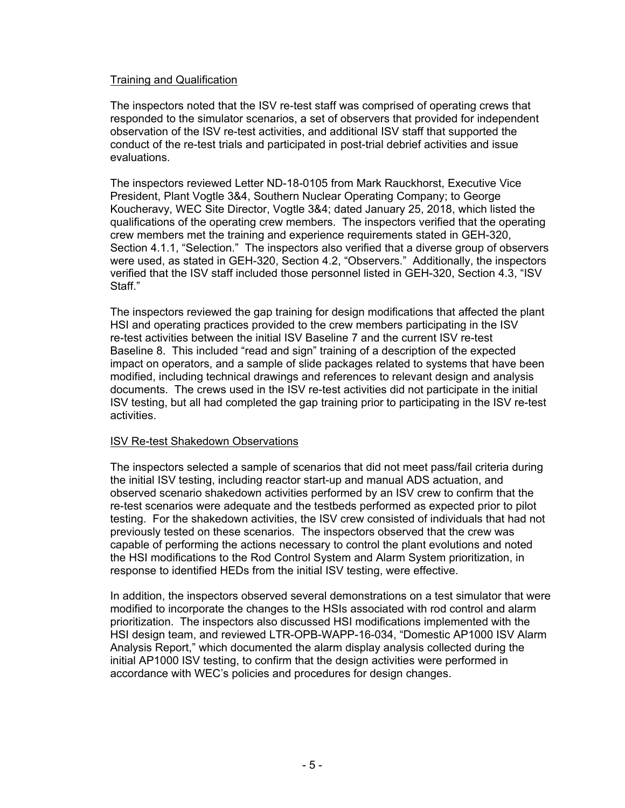#### Training and Qualification

The inspectors noted that the ISV re-test staff was comprised of operating crews that responded to the simulator scenarios, a set of observers that provided for independent observation of the ISV re-test activities, and additional ISV staff that supported the conduct of the re-test trials and participated in post-trial debrief activities and issue evaluations.

The inspectors reviewed Letter ND-18-0105 from Mark Rauckhorst, Executive Vice President, Plant Vogtle 3&4, Southern Nuclear Operating Company; to George Koucheravy, WEC Site Director, Vogtle 3&4; dated January 25, 2018, which listed the qualifications of the operating crew members. The inspectors verified that the operating crew members met the training and experience requirements stated in GEH-320, Section 4.1.1, "Selection." The inspectors also verified that a diverse group of observers were used, as stated in GEH-320, Section 4.2, "Observers." Additionally, the inspectors verified that the ISV staff included those personnel listed in GEH-320, Section 4.3, "ISV Staff<sup>"</sup>

The inspectors reviewed the gap training for design modifications that affected the plant HSI and operating practices provided to the crew members participating in the ISV re-test activities between the initial ISV Baseline 7 and the current ISV re-test Baseline 8. This included "read and sign" training of a description of the expected impact on operators, and a sample of slide packages related to systems that have been modified, including technical drawings and references to relevant design and analysis documents. The crews used in the ISV re-test activities did not participate in the initial ISV testing, but all had completed the gap training prior to participating in the ISV re-test activities.

## ISV Re-test Shakedown Observations

The inspectors selected a sample of scenarios that did not meet pass/fail criteria during the initial ISV testing, including reactor start-up and manual ADS actuation, and observed scenario shakedown activities performed by an ISV crew to confirm that the re-test scenarios were adequate and the testbeds performed as expected prior to pilot testing. For the shakedown activities, the ISV crew consisted of individuals that had not previously tested on these scenarios. The inspectors observed that the crew was capable of performing the actions necessary to control the plant evolutions and noted the HSI modifications to the Rod Control System and Alarm System prioritization, in response to identified HEDs from the initial ISV testing, were effective.

In addition, the inspectors observed several demonstrations on a test simulator that were modified to incorporate the changes to the HSIs associated with rod control and alarm prioritization. The inspectors also discussed HSI modifications implemented with the HSI design team, and reviewed LTR-OPB-WAPP-16-034, "Domestic AP1000 ISV Alarm Analysis Report," which documented the alarm display analysis collected during the initial AP1000 ISV testing, to confirm that the design activities were performed in accordance with WEC's policies and procedures for design changes.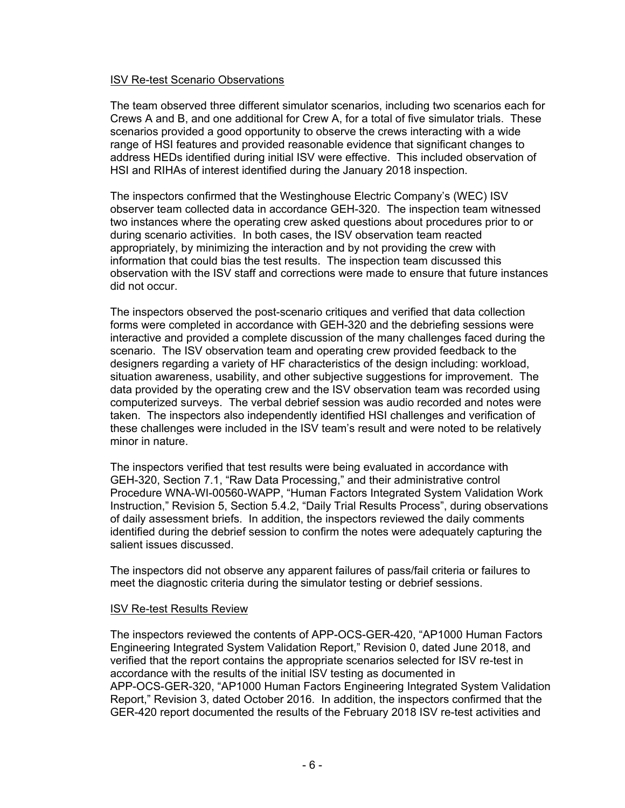#### ISV Re-test Scenario Observations

The team observed three different simulator scenarios, including two scenarios each for Crews A and B, and one additional for Crew A, for a total of five simulator trials. These scenarios provided a good opportunity to observe the crews interacting with a wide range of HSI features and provided reasonable evidence that significant changes to address HEDs identified during initial ISV were effective. This included observation of HSI and RIHAs of interest identified during the January 2018 inspection.

The inspectors confirmed that the Westinghouse Electric Company's (WEC) ISV observer team collected data in accordance GEH-320. The inspection team witnessed two instances where the operating crew asked questions about procedures prior to or during scenario activities. In both cases, the ISV observation team reacted appropriately, by minimizing the interaction and by not providing the crew with information that could bias the test results. The inspection team discussed this observation with the ISV staff and corrections were made to ensure that future instances did not occur.

The inspectors observed the post-scenario critiques and verified that data collection forms were completed in accordance with GEH-320 and the debriefing sessions were interactive and provided a complete discussion of the many challenges faced during the scenario. The ISV observation team and operating crew provided feedback to the designers regarding a variety of HF characteristics of the design including: workload, situation awareness, usability, and other subjective suggestions for improvement. The data provided by the operating crew and the ISV observation team was recorded using computerized surveys. The verbal debrief session was audio recorded and notes were taken. The inspectors also independently identified HSI challenges and verification of these challenges were included in the ISV team's result and were noted to be relatively minor in nature.

The inspectors verified that test results were being evaluated in accordance with GEH-320, Section 7.1, "Raw Data Processing," and their administrative control Procedure WNA-WI-00560-WAPP, "Human Factors Integrated System Validation Work Instruction," Revision 5, Section 5.4.2, "Daily Trial Results Process", during observations of daily assessment briefs. In addition, the inspectors reviewed the daily comments identified during the debrief session to confirm the notes were adequately capturing the salient issues discussed.

The inspectors did not observe any apparent failures of pass/fail criteria or failures to meet the diagnostic criteria during the simulator testing or debrief sessions.

#### ISV Re-test Results Review

The inspectors reviewed the contents of APP-OCS-GER-420, "AP1000 Human Factors Engineering Integrated System Validation Report," Revision 0, dated June 2018, and verified that the report contains the appropriate scenarios selected for ISV re-test in accordance with the results of the initial ISV testing as documented in APP-OCS-GER-320, "AP1000 Human Factors Engineering Integrated System Validation Report," Revision 3, dated October 2016. In addition, the inspectors confirmed that the GER-420 report documented the results of the February 2018 ISV re-test activities and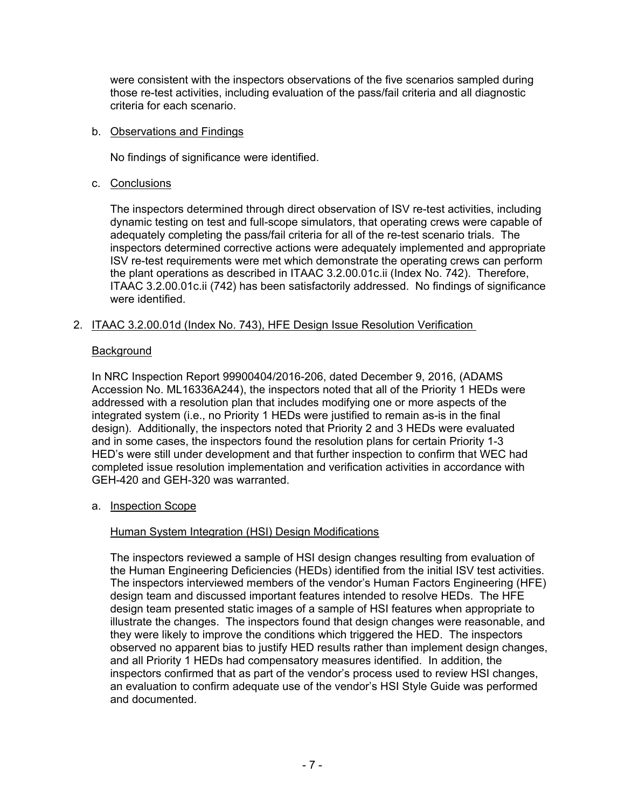were consistent with the inspectors observations of the five scenarios sampled during those re-test activities, including evaluation of the pass/fail criteria and all diagnostic criteria for each scenario.

## b. Observations and Findings

No findings of significance were identified.

## c. Conclusions

The inspectors determined through direct observation of ISV re-test activities, including dynamic testing on test and full-scope simulators, that operating crews were capable of adequately completing the pass/fail criteria for all of the re-test scenario trials. The inspectors determined corrective actions were adequately implemented and appropriate ISV re-test requirements were met which demonstrate the operating crews can perform the plant operations as described in ITAAC 3.2.00.01c.ii (Index No. 742). Therefore, ITAAC 3.2.00.01c.ii (742) has been satisfactorily addressed. No findings of significance were identified.

## 2. ITAAC 3.2.00.01d (Index No. 743), HFE Design Issue Resolution Verification

## Background

In NRC Inspection Report 99900404/2016-206, dated December 9, 2016, (ADAMS Accession No. ML16336A244), the inspectors noted that all of the Priority 1 HEDs were addressed with a resolution plan that includes modifying one or more aspects of the integrated system (i.e., no Priority 1 HEDs were justified to remain as-is in the final design). Additionally, the inspectors noted that Priority 2 and 3 HEDs were evaluated and in some cases, the inspectors found the resolution plans for certain Priority 1-3 HED's were still under development and that further inspection to confirm that WEC had completed issue resolution implementation and verification activities in accordance with GEH-420 and GEH-320 was warranted.

a. Inspection Scope

## Human System Integration (HSI) Design Modifications

The inspectors reviewed a sample of HSI design changes resulting from evaluation of the Human Engineering Deficiencies (HEDs) identified from the initial ISV test activities. The inspectors interviewed members of the vendor's Human Factors Engineering (HFE) design team and discussed important features intended to resolve HEDs. The HFE design team presented static images of a sample of HSI features when appropriate to illustrate the changes. The inspectors found that design changes were reasonable, and they were likely to improve the conditions which triggered the HED. The inspectors observed no apparent bias to justify HED results rather than implement design changes, and all Priority 1 HEDs had compensatory measures identified. In addition, the inspectors confirmed that as part of the vendor's process used to review HSI changes, an evaluation to confirm adequate use of the vendor's HSI Style Guide was performed and documented.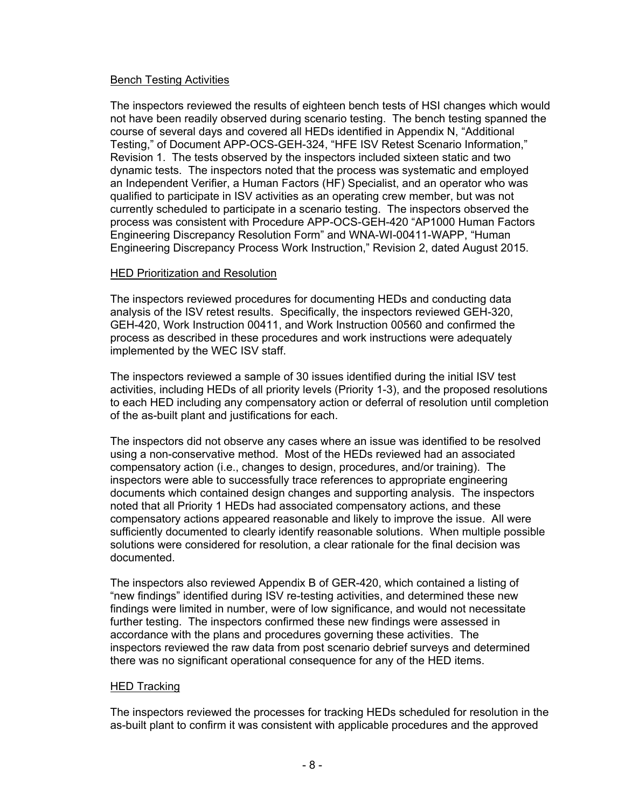## Bench Testing Activities

The inspectors reviewed the results of eighteen bench tests of HSI changes which would not have been readily observed during scenario testing. The bench testing spanned the course of several days and covered all HEDs identified in Appendix N, "Additional Testing," of Document APP-OCS-GEH-324, "HFE ISV Retest Scenario Information," Revision 1. The tests observed by the inspectors included sixteen static and two dynamic tests. The inspectors noted that the process was systematic and employed an Independent Verifier, a Human Factors (HF) Specialist, and an operator who was qualified to participate in ISV activities as an operating crew member, but was not currently scheduled to participate in a scenario testing. The inspectors observed the process was consistent with Procedure APP-OCS-GEH-420 "AP1000 Human Factors Engineering Discrepancy Resolution Form" and WNA-WI-00411-WAPP, "Human Engineering Discrepancy Process Work Instruction," Revision 2, dated August 2015.

## HED Prioritization and Resolution

The inspectors reviewed procedures for documenting HEDs and conducting data analysis of the ISV retest results. Specifically, the inspectors reviewed GEH-320, GEH-420, Work Instruction 00411, and Work Instruction 00560 and confirmed the process as described in these procedures and work instructions were adequately implemented by the WEC ISV staff.

The inspectors reviewed a sample of 30 issues identified during the initial ISV test activities, including HEDs of all priority levels (Priority 1-3), and the proposed resolutions to each HED including any compensatory action or deferral of resolution until completion of the as-built plant and justifications for each.

The inspectors did not observe any cases where an issue was identified to be resolved using a non-conservative method. Most of the HEDs reviewed had an associated compensatory action (i.e., changes to design, procedures, and/or training). The inspectors were able to successfully trace references to appropriate engineering documents which contained design changes and supporting analysis. The inspectors noted that all Priority 1 HEDs had associated compensatory actions, and these compensatory actions appeared reasonable and likely to improve the issue. All were sufficiently documented to clearly identify reasonable solutions. When multiple possible solutions were considered for resolution, a clear rationale for the final decision was documented.

The inspectors also reviewed Appendix B of GER-420, which contained a listing of "new findings" identified during ISV re-testing activities, and determined these new findings were limited in number, were of low significance, and would not necessitate further testing. The inspectors confirmed these new findings were assessed in accordance with the plans and procedures governing these activities. The inspectors reviewed the raw data from post scenario debrief surveys and determined there was no significant operational consequence for any of the HED items.

## HED Tracking

The inspectors reviewed the processes for tracking HEDs scheduled for resolution in the as-built plant to confirm it was consistent with applicable procedures and the approved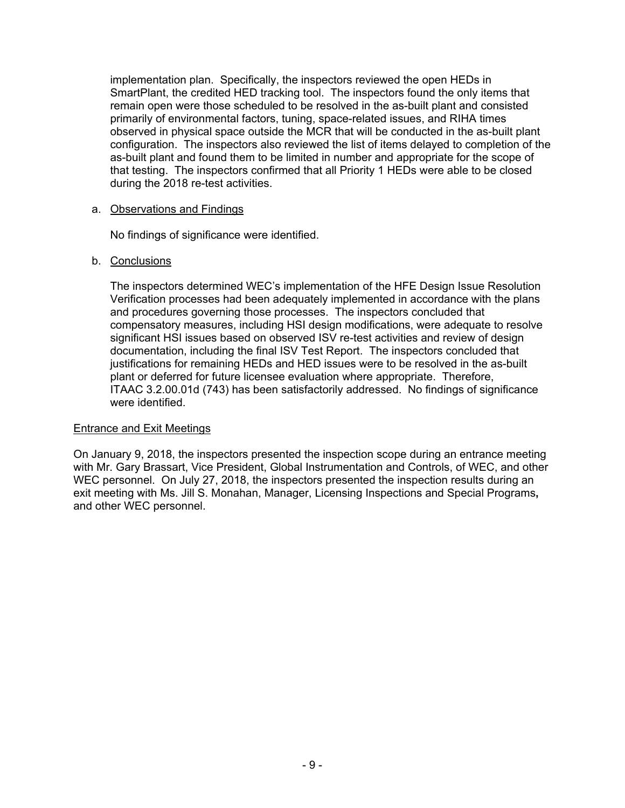implementation plan. Specifically, the inspectors reviewed the open HEDs in SmartPlant, the credited HED tracking tool. The inspectors found the only items that remain open were those scheduled to be resolved in the as-built plant and consisted primarily of environmental factors, tuning, space-related issues, and RIHA times observed in physical space outside the MCR that will be conducted in the as-built plant configuration. The inspectors also reviewed the list of items delayed to completion of the as-built plant and found them to be limited in number and appropriate for the scope of that testing. The inspectors confirmed that all Priority 1 HEDs were able to be closed during the 2018 re-test activities.

#### a. Observations and Findings

No findings of significance were identified.

#### b. Conclusions

The inspectors determined WEC's implementation of the HFE Design Issue Resolution Verification processes had been adequately implemented in accordance with the plans and procedures governing those processes. The inspectors concluded that compensatory measures, including HSI design modifications, were adequate to resolve significant HSI issues based on observed ISV re-test activities and review of design documentation, including the final ISV Test Report. The inspectors concluded that justifications for remaining HEDs and HED issues were to be resolved in the as-built plant or deferred for future licensee evaluation where appropriate. Therefore, ITAAC 3.2.00.01d (743) has been satisfactorily addressed. No findings of significance were identified.

#### Entrance and Exit Meetings

On January 9, 2018, the inspectors presented the inspection scope during an entrance meeting with Mr. Gary Brassart, Vice President, Global Instrumentation and Controls, of WEC, and other WEC personnel. On July 27, 2018, the inspectors presented the inspection results during an exit meeting with Ms. Jill S. Monahan, Manager, Licensing Inspections and Special Programs**,** and other WEC personnel.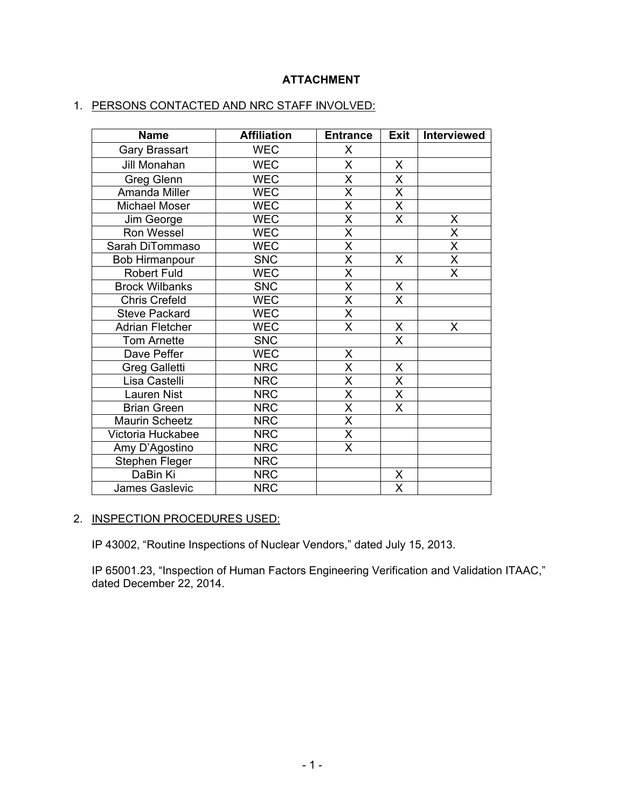## **ATTACHMENT**

## 1. PERSONS CONTACTED AND NRC STAFF INVOLVED:

| <b>Name</b>            | <b>Affiliation</b> | <b>Entrance</b>         | Exit                    | <b>Interviewed</b>      |
|------------------------|--------------------|-------------------------|-------------------------|-------------------------|
| Gary Brassart          | <b>WEC</b>         | X                       |                         |                         |
| Jill Monahan           | <b>WEC</b>         | X                       | X                       |                         |
| <b>Greg Glenn</b>      | <b>WEC</b>         | X                       | X                       |                         |
| Amanda Miller          | <b>WEC</b>         | X                       | X                       |                         |
| Michael Moser          | <b>WEC</b>         | $\overline{\mathsf{x}}$ | X                       |                         |
| Jim George             | <b>WEC</b>         | $\overline{X}$          | $\mathsf{X}$            | X                       |
| Ron Wessel             | <b>WEC</b>         | $\overline{\mathsf{x}}$ |                         | $\overline{\mathsf{x}}$ |
| Sarah DiTommaso        | <b>WEC</b>         | $\overline{\mathsf{x}}$ |                         | $\overline{\mathsf{x}}$ |
| <b>Bob Hirmanpour</b>  | <b>SNC</b>         | $\overline{\mathsf{x}}$ | X                       | $\overline{\mathsf{x}}$ |
| <b>Robert Fuld</b>     | <b>WEC</b>         | $\overline{\mathsf{x}}$ |                         | X                       |
| <b>Brock Wilbanks</b>  | <b>SNC</b>         | X                       | X                       |                         |
| <b>Chris Crefeld</b>   | <b>WEC</b>         | $\overline{\mathsf{x}}$ | $\mathsf{X}$            |                         |
| <b>Steve Packard</b>   | <b>WEC</b>         | $\overline{\mathsf{x}}$ |                         |                         |
| <b>Adrian Fletcher</b> | <b>WEC</b>         | $\overline{\mathsf{x}}$ | X                       | X                       |
| <b>Tom Arnette</b>     | <b>SNC</b>         |                         | $\overline{\mathsf{x}}$ |                         |
| Dave Peffer            | <b>WEC</b>         | Χ                       |                         |                         |
| Greg Galletti          | <b>NRC</b>         | X                       | X                       |                         |
| Lisa Castelli          | <b>NRC</b>         | $\overline{\mathsf{x}}$ | $\sf X$                 |                         |
| Lauren Nist            | <b>NRC</b>         | $\overline{\mathsf{x}}$ | $\overline{\mathsf{X}}$ |                         |
| <b>Brian Green</b>     | <b>NRC</b>         | $\overline{\mathsf{x}}$ | X                       |                         |
| <b>Maurin Scheetz</b>  | <b>NRC</b>         | $\overline{\mathsf{x}}$ |                         |                         |
| Victoria Huckabee      | <b>NRC</b>         | $\overline{\mathsf{x}}$ |                         |                         |
| Amy D'Agostino         | <b>NRC</b>         | $\overline{\mathsf{X}}$ |                         |                         |
| Stephen Fleger         | <b>NRC</b>         |                         |                         |                         |
| DaBin Ki               | <b>NRC</b>         |                         | X                       |                         |
| <b>James Gaslevic</b>  | <b>NRC</b>         |                         | X                       |                         |

# 2. INSPECTION PROCEDURES USED:

IP 43002, "Routine Inspections of Nuclear Vendors," dated July 15, 2013.

IP 65001.23, "Inspection of Human Factors Engineering Verification and Validation ITAAC," dated December 22, 2014.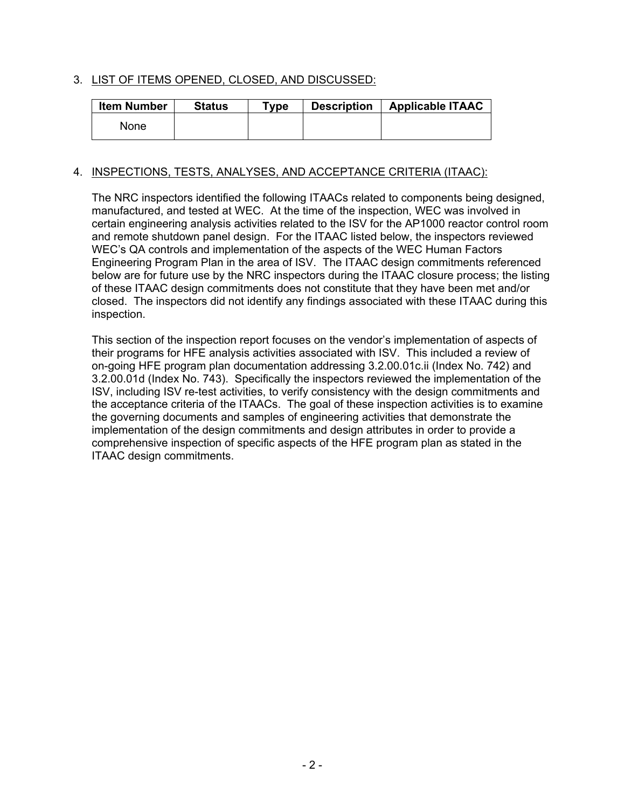## 3. LIST OF ITEMS OPENED, CLOSED, AND DISCUSSED:

| <b>Item Number</b> | <b>Status</b> | $T$ vpe | <b>Description</b> | <b>Applicable ITAAC</b> |
|--------------------|---------------|---------|--------------------|-------------------------|
| None               |               |         |                    |                         |

## 4. INSPECTIONS, TESTS, ANALYSES, AND ACCEPTANCE CRITERIA (ITAAC):

The NRC inspectors identified the following ITAACs related to components being designed, manufactured, and tested at WEC. At the time of the inspection, WEC was involved in certain engineering analysis activities related to the ISV for the AP1000 reactor control room and remote shutdown panel design. For the ITAAC listed below, the inspectors reviewed WEC's QA controls and implementation of the aspects of the WEC Human Factors Engineering Program Plan in the area of ISV. The ITAAC design commitments referenced below are for future use by the NRC inspectors during the ITAAC closure process; the listing of these ITAAC design commitments does not constitute that they have been met and/or closed. The inspectors did not identify any findings associated with these ITAAC during this inspection.

This section of the inspection report focuses on the vendor's implementation of aspects of their programs for HFE analysis activities associated with ISV. This included a review of on-going HFE program plan documentation addressing 3.2.00.01c.ii (Index No. 742) and 3.2.00.01d (Index No. 743). Specifically the inspectors reviewed the implementation of the ISV, including ISV re-test activities, to verify consistency with the design commitments and the acceptance criteria of the ITAACs. The goal of these inspection activities is to examine the governing documents and samples of engineering activities that demonstrate the implementation of the design commitments and design attributes in order to provide a comprehensive inspection of specific aspects of the HFE program plan as stated in the ITAAC design commitments.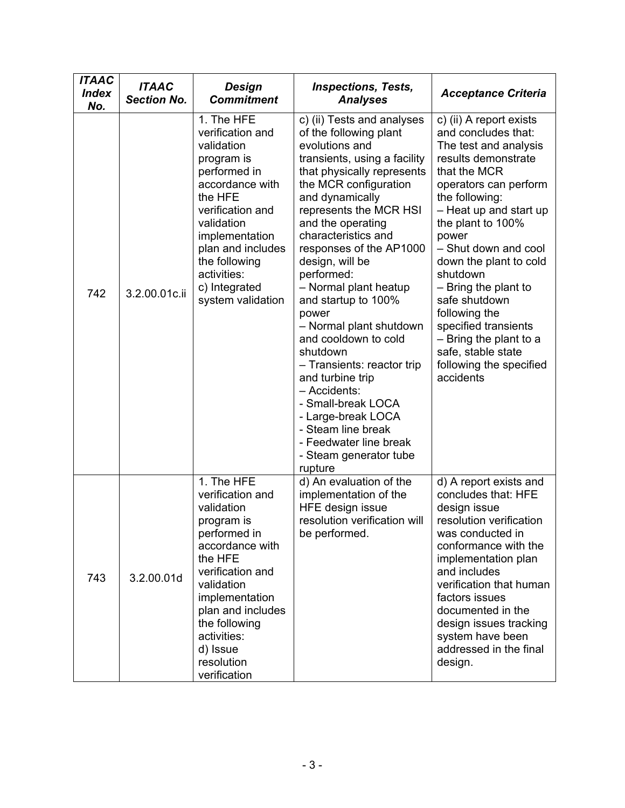| <b>ITAAC</b><br><b>Index</b><br>No. | <b>ITAAC</b><br><b>Section No.</b> | Design<br><b>Commitment</b>                                                                                                                                                                                                                                 | <b>Inspections, Tests,</b><br><b>Analyses</b>                                                                                                                                                                                                                                                                                                                                                                                                                                                                                                                                                                                                 | <b>Acceptance Criteria</b>                                                                                                                                                                                                                                                                                                                                                                                                                                |
|-------------------------------------|------------------------------------|-------------------------------------------------------------------------------------------------------------------------------------------------------------------------------------------------------------------------------------------------------------|-----------------------------------------------------------------------------------------------------------------------------------------------------------------------------------------------------------------------------------------------------------------------------------------------------------------------------------------------------------------------------------------------------------------------------------------------------------------------------------------------------------------------------------------------------------------------------------------------------------------------------------------------|-----------------------------------------------------------------------------------------------------------------------------------------------------------------------------------------------------------------------------------------------------------------------------------------------------------------------------------------------------------------------------------------------------------------------------------------------------------|
| 742                                 | 3.2.00.01c.ii                      | 1. The HFE<br>verification and<br>validation<br>program is<br>performed in<br>accordance with<br>the HFE<br>verification and<br>validation<br>implementation<br>plan and includes<br>the following<br>activities:<br>c) Integrated<br>system validation     | c) (ii) Tests and analyses<br>of the following plant<br>evolutions and<br>transients, using a facility<br>that physically represents<br>the MCR configuration<br>and dynamically<br>represents the MCR HSI<br>and the operating<br>characteristics and<br>responses of the AP1000<br>design, will be<br>performed:<br>- Normal plant heatup<br>and startup to 100%<br>power<br>- Normal plant shutdown<br>and cooldown to cold<br>shutdown<br>- Transients: reactor trip<br>and turbine trip<br>- Accidents:<br>- Small-break LOCA<br>- Large-break LOCA<br>- Steam line break<br>- Feedwater line break<br>- Steam generator tube<br>rupture | c) (ii) A report exists<br>and concludes that:<br>The test and analysis<br>results demonstrate<br>that the MCR<br>operators can perform<br>the following:<br>- Heat up and start up<br>the plant to 100%<br>power<br>- Shut down and cool<br>down the plant to cold<br>shutdown<br>- Bring the plant to<br>safe shutdown<br>following the<br>specified transients<br>- Bring the plant to a<br>safe, stable state<br>following the specified<br>accidents |
| 743                                 | 3.2.00.01d                         | 1. The HFE<br>verification and<br>validation<br>program is<br>performed in<br>accordance with<br>the HFE<br>verification and<br>validation<br>implementation<br>plan and includes<br>the following<br>activities:<br>d) Issue<br>resolution<br>verification | d) An evaluation of the<br>implementation of the<br>HFE design issue<br>resolution verification will<br>be performed.                                                                                                                                                                                                                                                                                                                                                                                                                                                                                                                         | d) A report exists and<br>concludes that: HFE<br>design issue<br>resolution verification<br>was conducted in<br>conformance with the<br>implementation plan<br>and includes<br>verification that human<br>factors issues<br>documented in the<br>design issues tracking<br>system have been<br>addressed in the final<br>design.                                                                                                                          |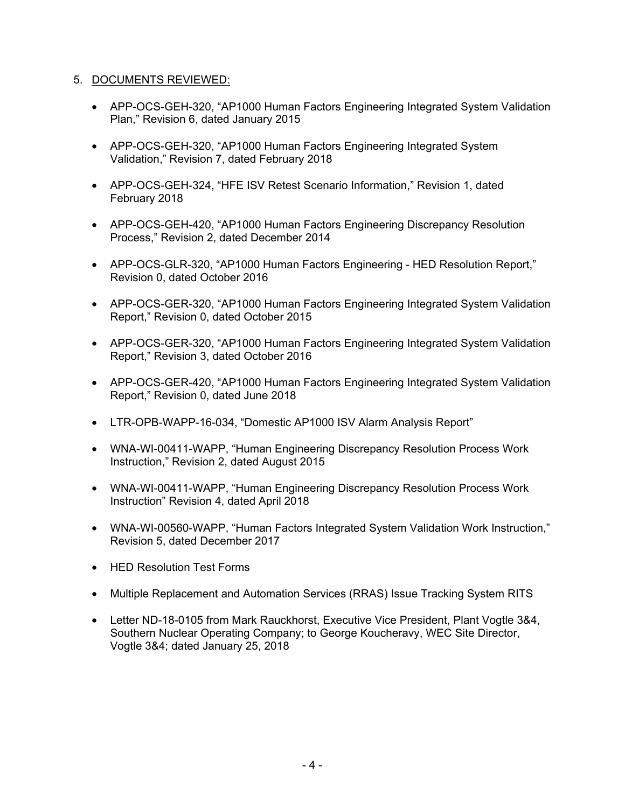## 5. DOCUMENTS REVIEWED:

- APP-OCS-GEH-320, "AP1000 Human Factors Engineering Integrated System Validation Plan," Revision 6, dated January 2015
- APP-OCS-GEH-320, "AP1000 Human Factors Engineering Integrated System Validation," Revision 7, dated February 2018
- APP-OCS-GEH-324, "HFE ISV Retest Scenario Information," Revision 1, dated February 2018
- APP-OCS-GEH-420, "AP1000 Human Factors Engineering Discrepancy Resolution Process," Revision 2, dated December 2014
- APP-OCS-GLR-320, "AP1000 Human Factors Engineering HED Resolution Report," Revision 0, dated October 2016
- APP-OCS-GER-320, "AP1000 Human Factors Engineering Integrated System Validation Report," Revision 0, dated October 2015
- APP-OCS-GER-320, "AP1000 Human Factors Engineering Integrated System Validation Report," Revision 3, dated October 2016
- APP-OCS-GER-420, "AP1000 Human Factors Engineering Integrated System Validation Report," Revision 0, dated June 2018
- LTR-OPB-WAPP-16-034, "Domestic AP1000 ISV Alarm Analysis Report"
- WNA-WI-00411-WAPP, "Human Engineering Discrepancy Resolution Process Work Instruction," Revision 2, dated August 2015
- WNA-WI-00411-WAPP, "Human Engineering Discrepancy Resolution Process Work Instruction" Revision 4, dated April 2018
- WNA-WI-00560-WAPP, "Human Factors Integrated System Validation Work Instruction," Revision 5, dated December 2017
- HED Resolution Test Forms
- Multiple Replacement and Automation Services (RRAS) Issue Tracking System RITS
- Letter ND-18-0105 from Mark Rauckhorst, Executive Vice President, Plant Vogtle 3&4, Southern Nuclear Operating Company; to George Koucheravy, WEC Site Director, Vogtle 3&4; dated January 25, 2018